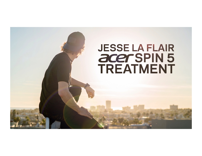# **JESSE LA FLAIR** acer SPIN 5 **TREATMENT**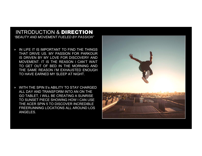#### INTRODUCTION & DIRECTION *"BEAUTY AND MOVEMENT FUELED BY PASSION"*

- ‣ IN LIFE IT IS IMPORTANT TO FIND THE THINGS THAT DRIVE US. MY PASSION FOR PARKOUR IS DRIVEN BY MY LOVE FOR DISCOVERY AND MOVEMENT. IT IS THE REASON I CAN'T WAIT TO GET OUT OF BED IN THE MORNING AND THE SAME REASON I'M EXHAUSTED ENOUGH TO HAVE EARNED MY SLEEP AT NIGHT.
- ‣ WITH THE SPIN 5's ABILITY TO STAY CHARGED ALL DAY AND TRANSFORM INTO AN ON THE GO TABLET, I WILL BE CREATING A SUNRISE TO SUNSET PIECE SHOWING HOW I CAN USE THE ACER SPIN 5 TO DISCOVER INCREDIBLE FREERUNNING LOCATIONS ALL AROUND LOS ANGELES.

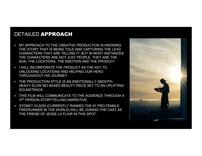### DETAILED APPROACH

- ‣ MY APPROACH TO THE CREATIVE PRODUCTION IS KNOWING THE STORY THAT IS BEING TOLD AND CAPTURING THE LEAD CHARACTERS THAT ARE TELLING IT. BUT IN MOST INSTANCES THE CHARACTERS ARE NOT JUST PEOPLE. THEY ARE THE SUN, THE LOCATIONS, THE EMOTION AND THE PRODUCT.
- ‣ I WILL INCORPORATE THE PRODUCT AS THE KEY TO UNLOCKING LOCATIONS AND HELPING OUR HERO THROUGHOUT HIS JOURNEY.
- ‣ THE PRODUCTION STYLE IS AN EMOTIONALLY SMOOTH, HEAVY SLOW MO BASED BEAUTY PIECE SET TO AN UPLIFTING SOUNDTRACK.
- ‣ THIS FILM WILL COMMUNICATE TO THE AUDIENCE THROUGH A 3RD PERSON STORYTELLING NARRATIVE.
- ‣ SYDNEY OLSON (CURRENTLY RANKED THE #1 PRO FEMALE FREERUNNER IN THE WORLD) WILL BE JOINING THE CAST AS THE FRIEND OF JESSE LA FLAIR IN THIS SPOT.

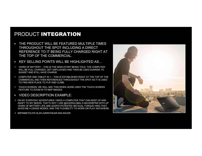# PRODUCT INTEGRATION

- ‣ THE PRODUCT WILL BE FEATURED MULTIPLE TIMES THROUGHOUT THE SPOT INCLUDING A DIRECT REFERENCE TO IT BEING FULLY CHARGED RIGHT AT THE TOP OF THE COMMERCIAL.
- ‣ KEY SELLING POINTS WILL BE HIGHLIGHTED AS…
- $\checkmark$  10HRS OF BATTERY THIS IS THE MAIN STORY BEING TOLD. THE COMPUTER WILL BE FULL CHARGED, GET UNPLUGGED AND THEN BE USED SUNRISE TO SUNSET AND STILL HAVE CHARGE
- $\checkmark$  COMPUTER AND TABLET IN 1 THIS IS ESTABLISHED RIGHT AT THE TOP OF THE COMMERCIAL AND THEN REFERENCED THROUGHOUT THE SPOT AS IT IS USED TO FIND NEW PLACE TO FLIP AND CLIMB.
- $\checkmark$  TOUCH SCREEN- WE WILL SEE THIS WHEN JESSE USES THE TOUCH SCREEN FEATURE TO ZOOM IN TO MAP IMAGES.
- ‣ VIDEO DESCRIPTION EXAMPLE:
- $\diamond$  ON MY EVERYDAY ADVENTURES I NEED A COMPUTER THAT CAN KEEP UP AND ADAPT TO MY NEEDS. THAT'S WHY I USE @ACERGLOBAL'S #ACERSPIN5 WITH UP 10HRS OF BATTERY LIFE AND ACER'S PATENTED 360 DUAL-TORQUE HING THAT GIVES ME 4 USAGE MODES, AND THE FLEXIBILITY TO WORK OR PLAY ANYWHERE.

 $\Diamond$  #SPINMETOLIFE #LAFLAIRINTHEAIR #AD #ACER

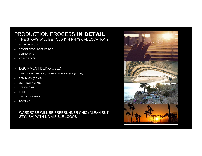# PRODUCTION PROCESS IN DETAIL

- **FILE STORY WILL BE TOLD IN 4 PHYSICAL LOCATIONS**
- o INTERIOR HOUSE
- o SECRET SPOT UNDER BRIDGE
- o SUNKEN CITY
- o VENICE BEACH
- ‣ EQUIPMENT BEING USED
- o CINEMA BUILT RED EPIC WITH DRAGON SENSOR (A CAM)
- o RED RAVEN (B CAM)
- o LIGHTING PACKAGE
- o STEADY CAM
- o SLIDER
- o CINIMA LENS PACKAGE
- o ZOOM MIC
- ‣ WARDROBE WILL BE FREERUNNER CHIC (CLEAN BUT STYLISH) WITH NO VISIBLE LOGOS

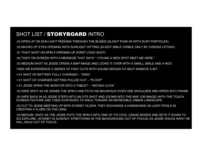# SHOT LIST / STORYBOARD INTRO

:03 OPEN UP ON SUN LIGHT PEEKING THROUGH THE BLINDS (SLIGHT PUSH IN WITH DUST PARTICLES) :03 MACRO OF EYES OPENING WITH SUNLIGHT HITTING (SLIGHT SMILE VISIBLE ONLY BY CHEEKS LIFTING)

:01 TIGHT SHOT ON SPIN 5 OPENING UP (FIRST LOGO SHOT)

:02 TIGHT ON SCREEN WITH A MESSAGE THAT SAYS " I FOUND A NEW SPOT MEET ME HERE."

:03 MEDIUM SHOT AS JESSE OPENS A MAP IMAGE AND LOOKS IT OVER WITH A SMALL SMILE AND A NOD.

THEN WE EXPERIENCE A SERIES OF FAST CUTS WITH SOUND DESIGN TO HELP ANIMATE A BIT…

<:01 SHOT OF BATTERY FULLY CHARGED – "DING"

<:01 SHOT OF CHARGER GETTING PULLED OUT – "PLOOP"

<:01 JESSE SPINS THE MONITOR INTO A TABLET – "WOOSH CLICK"

:02 WIDE SHOT AS HE GRABS THE SPIN 5 AND PUTS HIS BACKPACK OVER ONE SHOULDER AND WIPES INTO FRAME

:05 WIPE BACK IN AS JESSE STEPS INTO AN OTS SHOT AND ZOOMS INTO THE MAP (OR IMAGE) WITH THE TOUCH SCREEN FEATURE AND THEN CONTINUES TO WALK TOWARD AN INCREDIBLE URBAN LANDSCAPE.

:03 CUT TO JESSE MEETING UP WITH SYDNEY OLSON. THEY EXCHANGE A HANDSHAKE AS LIGHT POOLS IN CREATING A FLARE ON THE LENS.

:03 MEDIUM SHOT AS THE JESSE PUTS THE SPIN 5 INTO ONE OF ITS COOL USAGE MODES AND SETS IT DOWN TO GO EXPLORE. (SYDNEY IS ALREADY STRETCHING IN THE BACKGROUND OUT OF FOCUS) AS JESSE WALKS AWAY HE WILL WALK OUT OF FOCUS.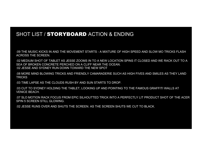#### SHOT LIST / STORYBOARD ACTION & ENDING

:09 THE MUSIC KICKS IN AND THE MOVEMENT STARTS - A MIXTURE OF HIGH SPEED AND SLOW MO TRICKS FLASH ACROSS THE SCREEN.

:02 MEDIUM SHOT OF TABLET AS JESSE ZOOMS IN TO A NEW LOCATION SPINS IT CLOSED AND WE RACK OUT TO A SEA OF BROKEN CONCRETE PERCHED ON A CLIFF NEAR THE OCEAN. :02 JESSE AND SYDNEY RUN DOWN TOWARD THE NEW SPOT

:08 MORE MIND BLOWING TRICKS AND FRIENDLY CAMARADERIE SUCH AS HIGH FIVES AND SMILES AS THEY LAND **TRICKS** 

:03 TIME LAPSE AS THE CLOUDS RUSH BY AND SUN STARTS TO DROP.

:03 CUT TO SYDNEY HOLDING THE TABLET, LOOKING UP AND POINTING TO THE FAMOUS GRAFFITI WALLS AT VENICE BEACH.

:07 SLO MOTION RACK FOCUS FROM EPIC SILHOUTTED TRICK INTO A PERFECTLY LIT PRODUCT SHOT OF THE ACER SPIN 5 SCREEN STILL GLOWING.

:02 JESSE RUNS OVER AND SHUTS THE SCREEN. AS THE SCREEN SHUTS WE CUT TO BLACK.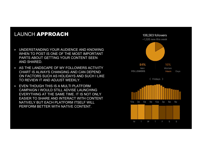## LAUNCH APPROACH

- ‣ UNDERSTANDING YOUR AUDIENCE AND KNOWING WHEN TO POST IS ONE OF THE MOST IMPORTANT PARTS ABOUT GETTING YOUR CONTENT SEEN AND SHARED.
- ‣ AS THE LANDSCAPE OF MY FOLLOWERS ACTIVITY CHART IS ALWAYS CHANGING AND CAN DEPEND ON FACTORS SUCH AS HOLIDAYS AND SUCH I LIKE TO REVIEW IT AND ADJUST WEEKLY.
- ‣ EVEN THOUGH THIS IS A MULTI PLATFORM CAMPAIGN I WOULD STILL ADVISE LAUNCHING EVERYTHING AT THE SAME TIME. IT IS NOT ONLY EASIER TO SHARE AND INTERACT WITH CONTENT NATIVELY BUT EACH PLATFORM ITSELF WILL PERFORM BETTER WITH NATIVE CONTENT.